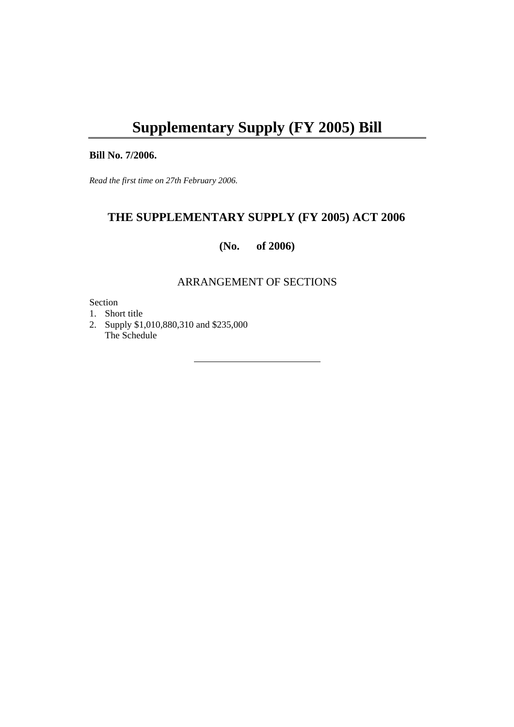# **Supplementary Supply (FY 2005) Bill**

#### **Bill No. 7/2006.**

*Read the first time on 27th February 2006.* 

# **THE SUPPLEMENTARY SUPPLY (FY 2005) ACT 2006**

**(No. of 2006)** 

### ARRANGEMENT OF SECTIONS

Section

1. Short title

2. Supply \$1,010,880,310 and \$235,000 The Schedule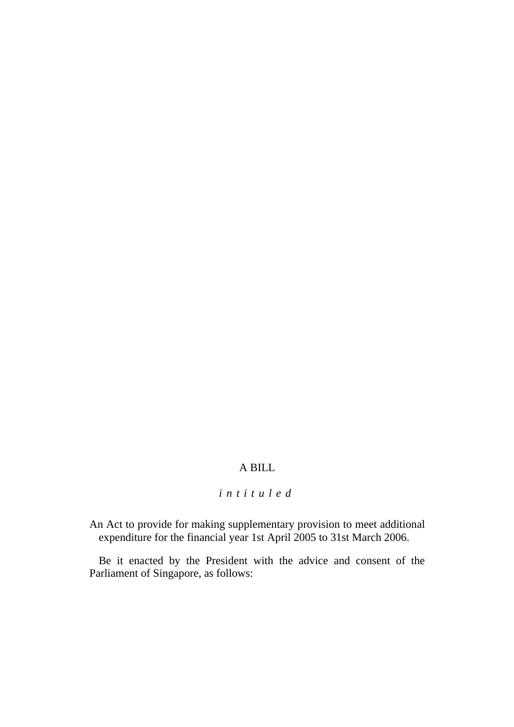# A BILL

## *intituled*

An Act to provide for making supplementary provision to meet additional expenditure for the financial year 1st April 2005 to 31st March 2006.

Be it enacted by the President with the advice and consent of the Parliament of Singapore, as follows: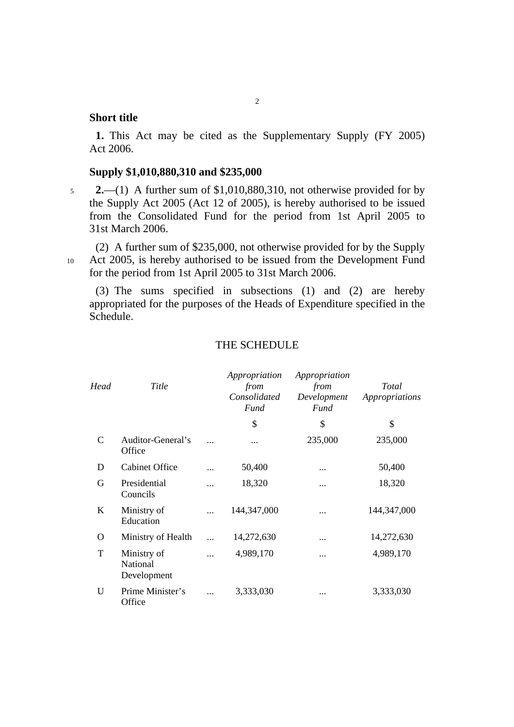## **Short title**

**1.** This Act may be cited as the Supplementary Supply (FY 2005) Act 2006.

#### **Supply \$1,010,880,310 and \$235,000**

<sup>5</sup>**2.**—(1) A further sum of \$1,010,880,310, not otherwise provided for by the Supply Act 2005 (Act 12 of 2005), is hereby authorised to be issued from the Consolidated Fund for the period from 1st April 2005 to 31st March 2006.

(2) A further sum of \$235,000, not otherwise provided for by the Supply 10 Act 2005, is hereby authorised to be issued from the Development Fund for the period from 1st April 2005 to 31st March 2006.

(3) The sums specified in subsections (1) and (2) are hereby appropriated for the purposes of the Heads of Expenditure specified in the Schedule.

| Head        | Title                                  |           | Appropriation<br>from<br>Consolidated<br>Fund | Appropriation<br>from<br>Development<br>Fund | <b>Total</b><br>Appropriations |
|-------------|----------------------------------------|-----------|-----------------------------------------------|----------------------------------------------|--------------------------------|
|             |                                        |           | \$                                            | \$                                           | \$                             |
| $\mathbf C$ | Auditor-General's<br>Office            | $\cdots$  |                                               | 235,000                                      | 235,000                        |
| D           | <b>Cabinet Office</b>                  |           | 50,400                                        | $\cdots$                                     | 50,400                         |
| G           | Presidential<br>Councils               | $\cdots$  | 18,320                                        | $\cdots$                                     | 18,320                         |
| K           | Ministry of<br>Education               |           | 144, 347, 000                                 |                                              | 144,347,000                    |
| O           | Ministry of Health                     |           | 14,272,630                                    | $\cdots$                                     | 14,272,630                     |
| T           | Ministry of<br>National<br>Development | $\ddotsc$ | 4,989,170                                     | $\cdots$                                     | 4,989,170                      |
| U           | Prime Minister's<br>Office             |           | 3,333,030                                     |                                              | 3,333,030                      |

#### THE SCHEDULE